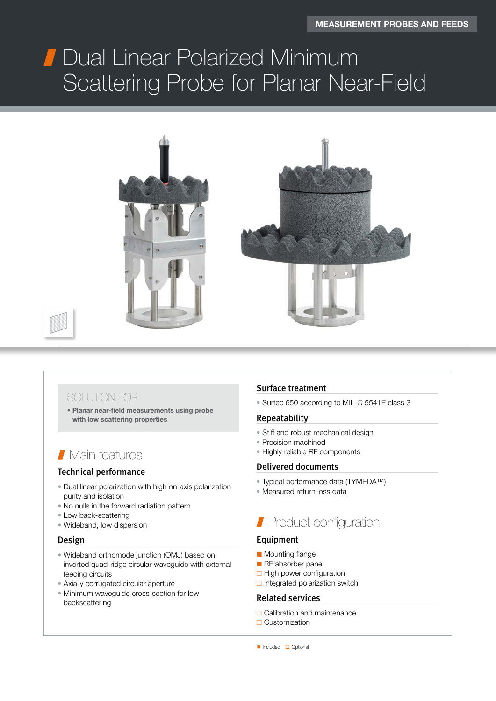# Jual Linear Polarized<br>Coetterine Drehe fer Dual Linear Polarized Minimum Scattering Probe for Planar Near-Field



## SOLUTION FOR

• Planar near-field measurements using probe with low scattering properties

## **Nain features**

## Technical performance

- Dual linear polarization with high on-axis polarization purity and isolation
- No nulls in the forward radiation pattern
- Low back-scattering
- Wideband, low dispersion

#### Design

- Wideband orthomode junction (OMJ) based on inverted quad-ridge circular waveguide with external feeding circuits
- Axially corrugated circular aperture
- Minimum waveguide cross-section for low backscattering

### Surface treatment

• Surtec 650 according to MIL-C 5541E class 3

#### Repeatability

- Stiff and robust mechanical design
- Precision machined
- Highly reliable RF components

#### Delivered documents

- Typical performance data (TYMEDA™)
- Measured return loss data

# **Product configuration**

### Equipment

- Mounting flange
- RF absorber panel
- $\Box$  High power configuration
- $\Box$  Integrated polarization switch

#### Related services

- □ Calibration and maintenance
- □ Customization